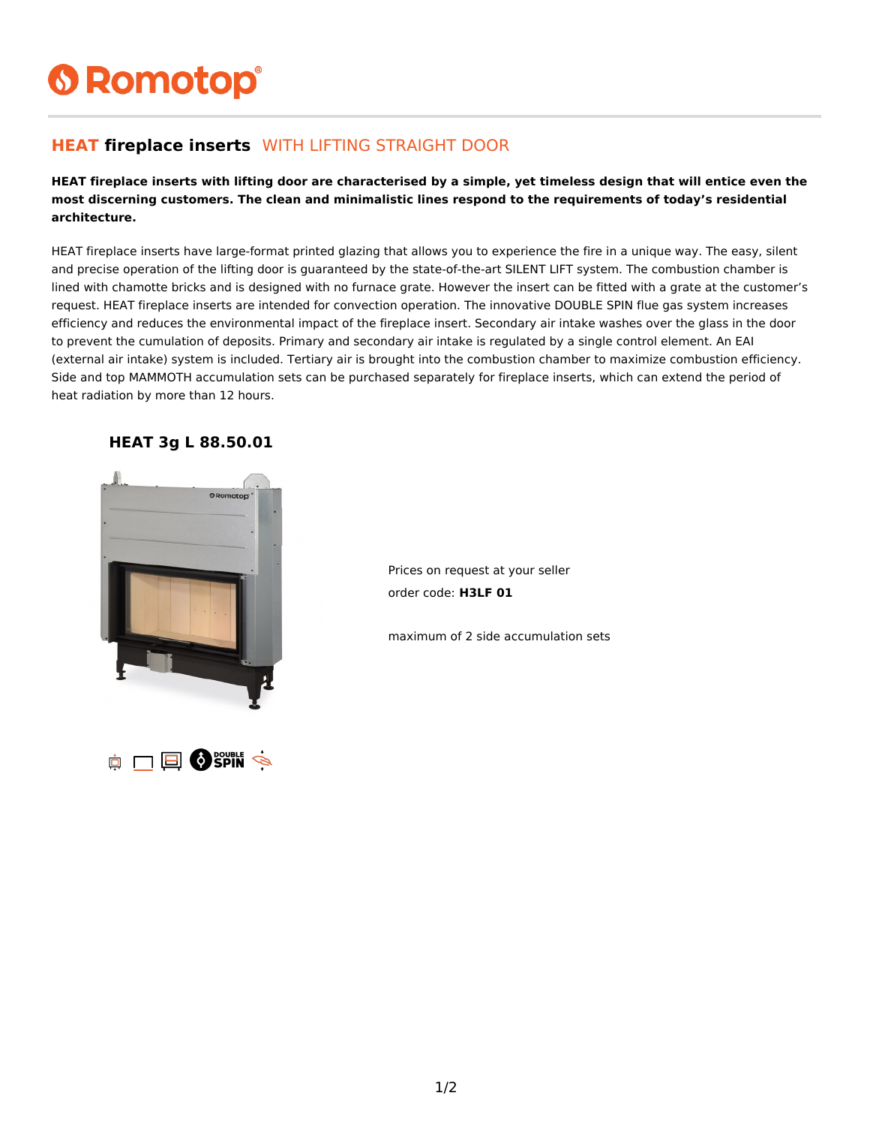# **6 Romotop®**

#### **HEAT fireplace inserts** WITH LIFTING STRAIGHT DOOR

**HEAT fireplace inserts with lifting door are characterised by a simple, yet timeless design that will entice even the most discerning customers. The clean and minimalistic lines respond to the requirements of today's residential architecture.**

HEAT fireplace inserts have large-format printed glazing that allows you to experience the fire in a unique way. The easy, silent and precise operation of the lifting door is guaranteed by the state-of-the-art SILENT LIFT system. The combustion chamber is lined with chamotte bricks and is designed with no furnace grate. However the insert can be fitted with a grate at the customer's request. HEAT fireplace inserts are intended for convection operation. The innovative DOUBLE SPIN flue gas system increases efficiency and reduces the environmental impact of the fireplace insert. Secondary air intake washes over the glass in the door to prevent the cumulation of deposits. Primary and secondary air intake is regulated by a single control element. An EAI (external air intake) system is included. Tertiary air is brought into the combustion chamber to maximize combustion efficiency. Side and top MAMMOTH accumulation sets can be purchased separately for fireplace inserts, which can extend the period of heat radiation by more than 12 hours.



**HEAT 3g L 88.50.01**

Prices on request at your seller order code: **H3LF 01**

maximum of 2 side accumulation sets

1/2